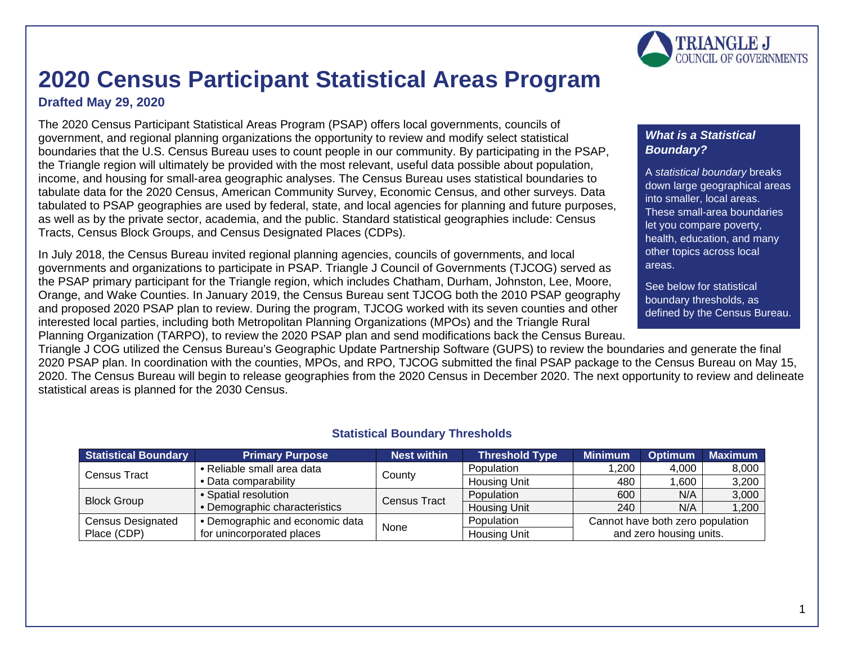# **2020 Census Participant Statistical Areas Program**

## **Drafted May 29, 2020**

The 2020 Census Participant Statistical Areas Program (PSAP) offers local governments, councils of government, and regional planning organizations the opportunity to review and modify select statistical boundaries that the U.S. Census Bureau uses to count people in our community. By participating in the PSAP, the Triangle region will ultimately be provided with the most relevant, useful data possible about population, income, and housing for small-area geographic analyses. The Census Bureau uses statistical boundaries to tabulate data for the 2020 Census, American Community Survey, Economic Census, and other surveys. Data tabulated to PSAP geographies are used by federal, state, and local agencies for planning and future purposes, as well as by the private sector, academia, and the public. Standard statistical geographies include: Census Tracts, Census Block Groups, and Census Designated Places (CDPs).

In July 2018, the Census Bureau invited regional planning agencies, councils of governments, and local governments and organizations to participate in PSAP. Triangle J Council of Governments (TJCOG) served as the PSAP primary participant for the Triangle region, which includes Chatham, Durham, Johnston, Lee, Moore, Orange, and Wake Counties. In January 2019, the Census Bureau sent TJCOG both the 2010 PSAP geography and proposed 2020 PSAP plan to review. During the program, TJCOG worked with its seven counties and other interested local parties, including both Metropolitan Planning Organizations (MPOs) and the Triangle Rural Planning Organization (TARPO), to review the 2020 PSAP plan and send modifications back the Census Bureau.

Triangle J COG utilized the Census Bureau's Geographic Update Partnership Software (GUPS) to review the boundaries and generate the final 2020 PSAP plan. In coordination with the counties, MPOs, and RPO, TJCOG submitted the final PSAP package to the Census Bureau on May 15, 2020. The Census Bureau will begin to release geographies from the 2020 Census in December 2020. The next opportunity to review and delineate statistical areas is planned for the 2030 Census.

## **Statistical Boundary Thresholds**

| <b>Statistical Boundary</b> | <b>Primary Purpose</b>          | <b>Nest within</b>  | <b>Threshold Type</b> | <b>Minimum</b>                   | <b>Optimum</b> | <b>Maximum</b> |
|-----------------------------|---------------------------------|---------------------|-----------------------|----------------------------------|----------------|----------------|
| Census Tract                | • Reliable small area data      | County              | Population            | .200                             | 4,000          | 8,000          |
|                             | • Data comparability            |                     | <b>Housing Unit</b>   | 480                              | 1,600          | 3,200          |
| <b>Block Group</b>          | • Spatial resolution            | <b>Census Tract</b> | Population            | 600                              | N/A            | 3,000          |
|                             | • Demographic characteristics   |                     | <b>Housing Unit</b>   | 240                              | N/A            | 1,200          |
| <b>Census Designated</b>    | • Demographic and economic data | None                | Population            | Cannot have both zero population |                |                |
| Place (CDP)                 | for unincorporated places       |                     | <b>Housing Unit</b>   | and zero housing units.          |                |                |

#### *What is a Statistical Boundary?*

A *statistical boundary* breaks down large geographical areas into smaller, local areas. These small-area boundaries let you compare poverty, health, education, and many other topics across local areas.

See below for statistical boundary thresholds, as defined by the Census Bureau.

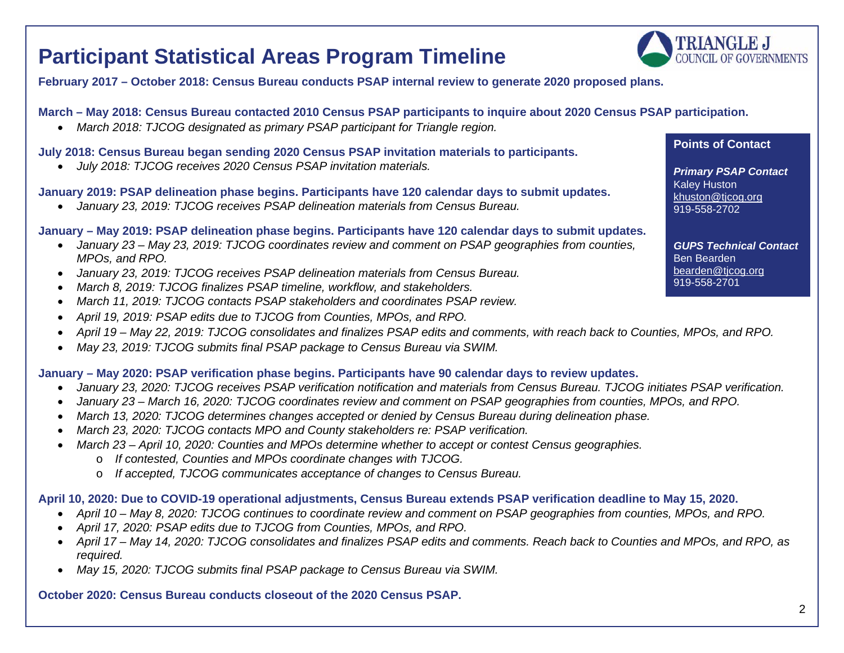## **Participant Statistical Areas Program Timeline**

**TRIANGLE J COUNCIL OF GOVERNMENTS** 

**February 2017 – October 2018: Census Bureau conducts PSAP internal review to generate 2020 proposed plans.**

#### **March – May 2018: Census Bureau contacted 2010 Census PSAP participants to inquire about 2020 Census PSAP participation.**

• *March 2018: TJCOG designated as primary PSAP participant for Triangle region.*

#### **July 2018: Census Bureau began sending 2020 Census PSAP invitation materials to participants.**

• *July 2018: TJCOG receives 2020 Census PSAP invitation materials.*

#### **January 2019: PSAP delineation phase begins. Participants have 120 calendar days to submit updates.**

• *January 23, 2019: TJCOG receives PSAP delineation materials from Census Bureau.*

#### **January – May 2019: PSAP delineation phase begins. Participants have 120 calendar days to submit updates.**

- *January 23 – May 23, 2019: TJCOG coordinates review and comment on PSAP geographies from counties, MPOs, and RPO.*
- *January 23, 2019: TJCOG receives PSAP delineation materials from Census Bureau.*
- *March 8, 2019: TJCOG finalizes PSAP timeline, workflow, and stakeholders.*
- *March 11, 2019: TJCOG contacts PSAP stakeholders and coordinates PSAP review.*
- *April 19, 2019: PSAP edits due to TJCOG from Counties, MPOs, and RPO.*
- *April 19 – May 22, 2019: TJCOG consolidates and finalizes PSAP edits and comments, with reach back to Counties, MPOs, and RPO.*
- *May 23, 2019: TJCOG submits final PSAP package to Census Bureau via SWIM.*

#### **January – May 2020: PSAP verification phase begins. Participants have 90 calendar days to review updates.**

- *January 23, 2020: TJCOG receives PSAP verification notification and materials from Census Bureau. TJCOG initiates PSAP verification.*
- *January 23 – March 16, 2020: TJCOG coordinates review and comment on PSAP geographies from counties, MPOs, and RPO.*
- *March 13, 2020: TJCOG determines changes accepted or denied by Census Bureau during delineation phase.*
- *March 23, 2020: TJCOG contacts MPO and County stakeholders re: PSAP verification.*
- *March 23 – April 10, 2020: Counties and MPOs determine whether to accept or contest Census geographies.*
	- o *If contested, Counties and MPOs coordinate changes with TJCOG.*
	- o *If accepted, TJCOG communicates acceptance of changes to Census Bureau.*

#### **April 10, 2020: Due to COVID-19 operational adjustments, Census Bureau extends PSAP verification deadline to May 15, 2020.**

- *April 10 – May 8, 2020: TJCOG continues to coordinate review and comment on PSAP geographies from counties, MPOs, and RPO.*
- *April 17, 2020: PSAP edits due to TJCOG from Counties, MPOs, and RPO.*
- *April 17 – May 14, 2020: TJCOG consolidates and finalizes PSAP edits and comments. Reach back to Counties and MPOs, and RPO, as required.*
- *May 15, 2020: TJCOG submits final PSAP package to Census Bureau via SWIM.*

## **October 2020: Census Bureau conducts closeout of the 2020 Census PSAP.**

#### **Points of Contact**

*Primary PSAP Contact* Kaley Huston khuston@ticog.org 919-558-2702

*GUPS Technical Contact* Ben Bearden [bearden@tjcog.org](mailto:bearden@tjcog.org) 919-558-2701